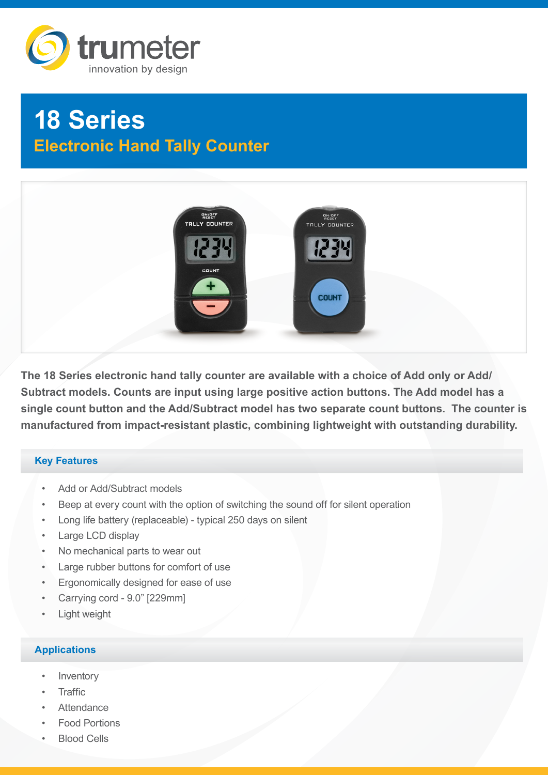

# **18 Series Electronic Hand Tally Counter**



**The 18 Series electronic hand tally counter are available with a choice of Add only or Add/ Subtract models. Counts are input using large positive action buttons. The Add model has a single count button and the Add/Subtract model has two separate count buttons. The counter is manufactured from impact-resistant plastic, combining lightweight with outstanding durability.**

## **Key Features**

- Add or Add/Subtract models
- Beep at every count with the option of switching the sound off for silent operation
- Long life battery (replaceable) typical 250 days on silent
- Large LCD display
- No mechanical parts to wear out
- Large rubber buttons for comfort of use
- Ergonomically designed for ease of use
- Carrying cord 9.0" [229mm]
- **Light weight**

# **Applications**

- **Inventory**
- Traffic
- **Attendance**
- Food Portions
- Blood Cells